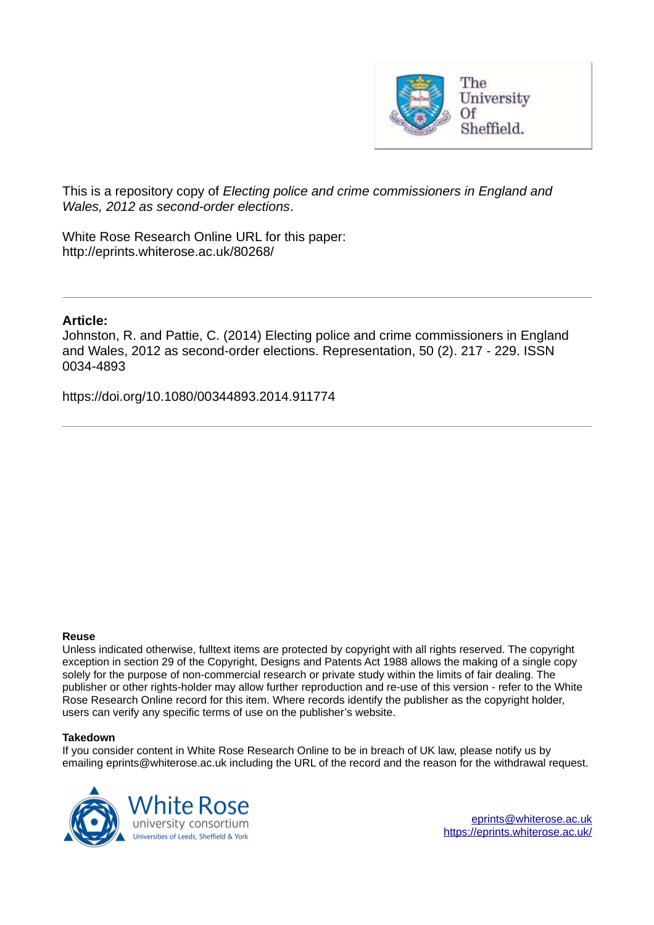

This is a repository copy of *Electing police and crime commissioners in England and Wales, 2012 as second-order elections*.

White Rose Research Online URL for this paper: http://eprints.whiterose.ac.uk/80268/

# **Article:**

Johnston, R. and Pattie, C. (2014) Electing police and crime commissioners in England and Wales, 2012 as second-order elections. Representation, 50 (2). 217 - 229. ISSN 0034-4893

https://doi.org/10.1080/00344893.2014.911774

#### **Reuse**

Unless indicated otherwise, fulltext items are protected by copyright with all rights reserved. The copyright exception in section 29 of the Copyright, Designs and Patents Act 1988 allows the making of a single copy solely for the purpose of non-commercial research or private study within the limits of fair dealing. The publisher or other rights-holder may allow further reproduction and re-use of this version - refer to the White Rose Research Online record for this item. Where records identify the publisher as the copyright holder, users can verify any specific terms of use on the publisher's website.

## **Takedown**

If you consider content in White Rose Research Online to be in breach of UK law, please notify us by emailing eprints@whiterose.ac.uk including the URL of the record and the reason for the withdrawal request.

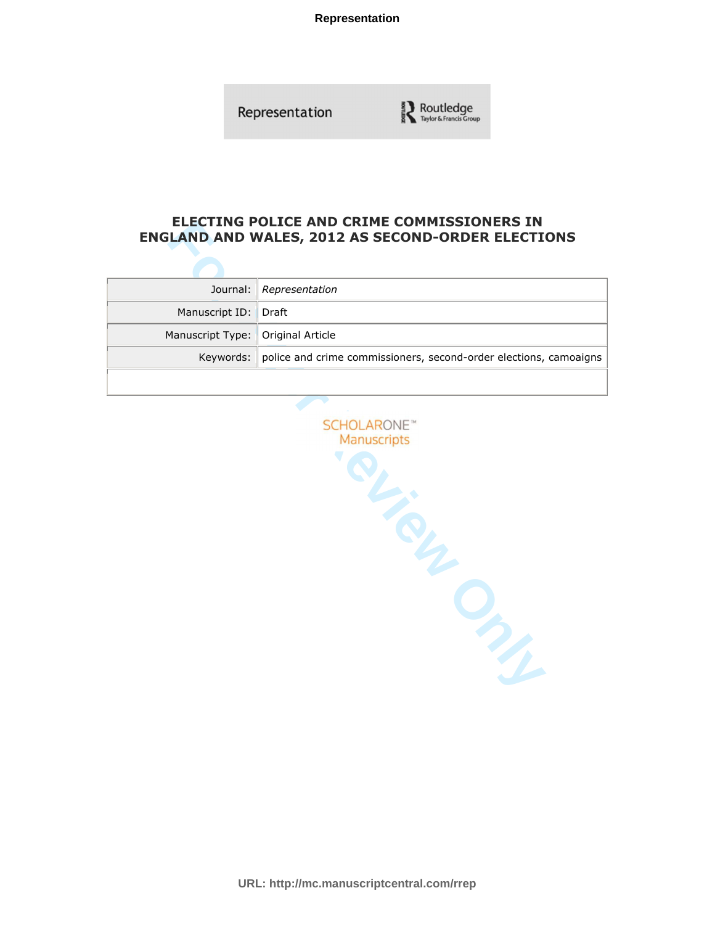Representation

Routledge

# **ECTING POLICE AND CRIME COMMISSIONERS IN** ENGLAND AND WALES, 2012 AS SECOND-ORDER ELECTIONS

|                                     | Journal:   Representation                                                     |
|-------------------------------------|-------------------------------------------------------------------------------|
| Manuscript ID: Draft                |                                                                               |
| Manuscript Type:   Original Article |                                                                               |
|                                     | Keywords:   police and crime commissioners, second-order elections, camoaigns |
|                                     |                                                                               |

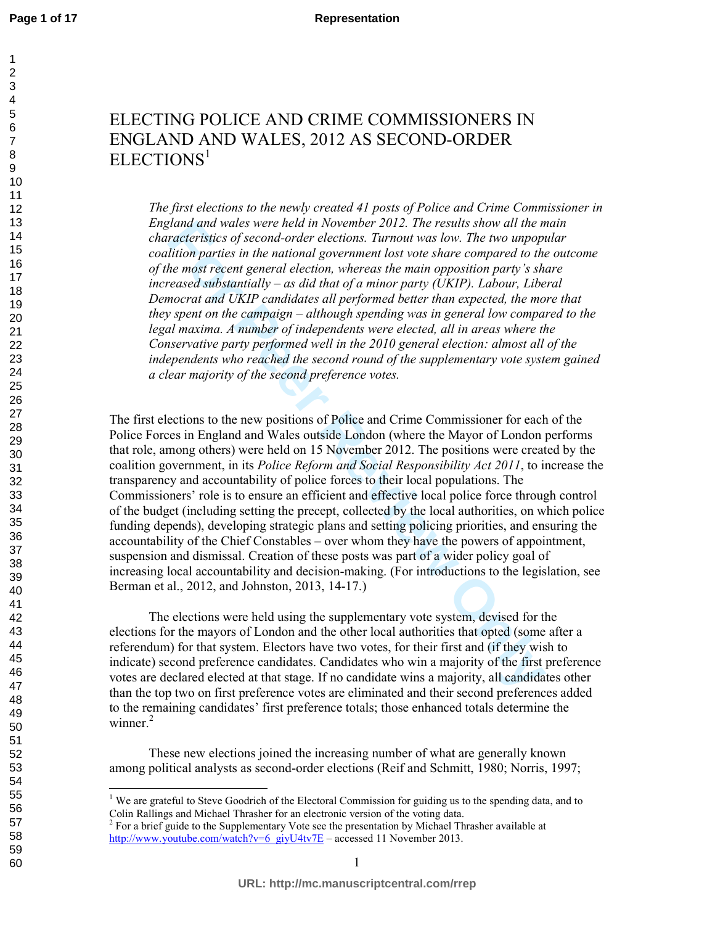$\mathbf{1}$  $\overline{2}$ 3 4 5

6

 $\overline{7}$ 8

9 10  $11$ 

 $12$  $13$ 

 $14$ 

15

16

17

18

19

20

21

22 23

24

25 26 27

28

29

30

31

32 33

34

35

36

37

38

39

40 41 42

43 44

45

46

47

48

49

50 51

52 53

54 55

56

57

58

59

60

# ELECTING POLICE AND CRIME COMMISSIONERS IN ENGLAND AND WALES, 2012 AS SECOND-ORDER  $ELECTIONS<sup>1</sup>$

The first elections to the newly created 41 posts of Police and Crime Commissioner in England and wales were held in November 2012. The results show all the main characteristics of second-order elections. Turnout was low. The two unpopular coalition parties in the national government lost vote share compared to the outcome of the most recent general election, whereas the main opposition party's share increased substantially – as did that of a minor party (UKIP). Labour, Liberal Democrat and UKIP candidates all performed better than expected, the more that they spent on the campaign – although spending was in general low compared to the legal maxima. A number of independents were elected, all in areas where the Conservative party performed well in the 2010 general election: almost all of the independents who reached the second round of the supplementary vote system gained a clear majority of the second preference votes.

The first elections to the new positions of Police and Crime Commissioner for each of the Police Forces in England and Wales outside London (where the Mayor of London performs that role, among others) were held on 15 November 2012. The positions were created by the coalition government, in its *Police Reform and Social Responsibility Act 2011*, to increase the transparency and accountability of police forces to their local populations. The Commissioners' role is to ensure an efficient and effective local police force through control of the budget (including setting the precept, collected by the local authorities, on which police funding depends), developing strategic plans and setting policing priorities, and ensuring the accountability of the Chief Constables – over whom they have the powers of appointment, suspension and dismissal. Creation of these posts was part of a wider policy goal of increasing local accountability and decision-making. (For introductions to the legislation, see Berman et al., 2012, and Johnston, 2013, 14-17.)

The elections were held using the supplementary vote system, devised for the elections for the mayors of London and the other local authorities that opted (some after a referendum) for that system. Electors have two votes, for their first and (if they wish to indicate) second preference candidates. Candidates who win a majority of the first preference votes are declared elected at that stage. If no candidate wins a majority, all candidates other than the top two on first preference votes are eliminated and their second preferences added to the remaining candidates' first preference totals; those enhanced totals determine the winner $^2$ 

These new elections joined the increasing number of what are generally known among political analysts as second-order elections (Reif and Schmitt, 1980; Norris, 1997;

<sup>&</sup>lt;sup>1</sup> We are grateful to Steve Goodrich of the Electoral Commission for guiding us to the spending data, and to Colin Rallings and Michael Thrasher for an electronic version of the voting data.

For a brief guide to the Supplementary Vote see the presentation by Michael Thrasher available at http://www.youtube.com/watch?v=6 giyU4tv7E – accessed 11 November 2013.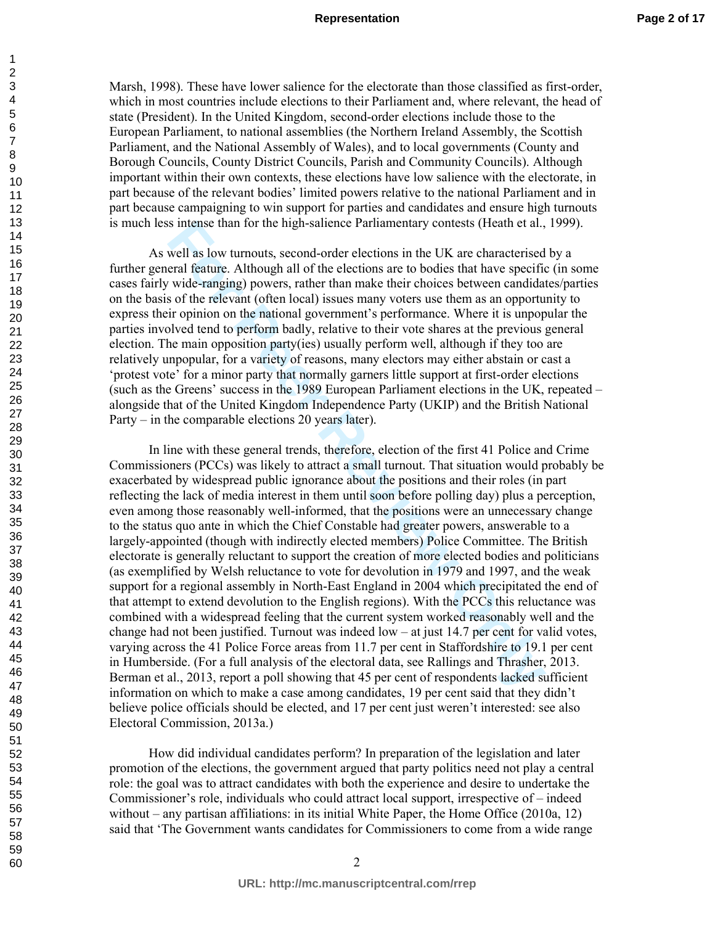Marsh, 1998). These have lower salience for the electorate than those classified as first-order, which in most countries include elections to their Parliament and, where relevant, the head of state (President). In the United Kingdom, second-order elections include those to the European Parliament, to national assemblies (the Northern Ireland Assembly, the Scottish Parliament, and the National Assembly of Wales), and to local governments (County and Borough Councils, County District Councils, Parish and Community Councils). Although important within their own contexts, these elections have low salience with the electorate, in part because of the relevant bodies' limited powers relative to the national Parliament and in part because campaigning to win support for parties and candidates and ensure high turnouts is much less intense than for the high-salience Parliamentary contests (Heath et al., 1999).

As well as low turnouts, second-order elections in the UK are characterised by a further general feature. Although all of the elections are to bodies that have specific (in some cases fairly wide-ranging) powers, rather than make their choices between candidates/parties on the basis of the relevant (often local) issues many voters use them as an opportunity to express their opinion on the national government's performance. Where it is unpopular the parties involved tend to perform badly, relative to their vote shares at the previous general election. The main opposition party (ies) usually perform well, although if they too are relatively unpopular, for a variety of reasons, many electors may either abstain or cast a 'protest vote' for a minor party that normally garners little support at first-order elections (such as the Greens' success in the 1989 European Parliament elections in the UK, repeated – alongside that of the United Kingdom Independence Party (UKIP) and the British National Party – in the comparable elections 20 years later).

In line with these general trends, therefore, election of the first 41 Police and Crime Commissioners (PCCs) was likely to attract a small turnout. That situation would probably be exacerbated by widespread public ignorance about the positions and their roles (in part reflecting the lack of media interest in them until soon before polling day) plus a perception, even among those reasonably well-informed, that the positions were an unnecessary change to the status quo ante in which the Chief Constable had greater powers, answerable to a largely-appointed (though with indirectly elected members) Police Committee. The British electorate is generally reluctant to support the creation of more elected bodies and politicians (as exemplified by Welsh reluctance to vote for devolution in 1979 and 1997, and the weak support for a regional assembly in North-East England in 2004 which precipitated the end of that attempt to extend devolution to the English regions). With the PCCs this reluctance was combined with a widespread feeling that the current system worked reasonably well and the change had not been justified. Turnout was indeed low  $-$  at just 14.7 per cent for valid votes, varying across the 41 Police Force areas from 11.7 per cent in Staffordshire to 19.1 per cent in Humberside. (For a full analysis of the electoral data, see Rallings and Thrasher, 2013. Berman et al., 2013, report a poll showing that 45 per cent of respondents lacked sufficient information on which to make a case among candidates, 19 per cent said that they didn't believe police officials should be elected, and 17 per cent just weren't interested: see also Electoral Commission, 2013a.)

How did individual candidates perform? In preparation of the legislation and later promotion of the elections, the government argued that party politics need not play a central role: the goal was to attract candidates with both the experience and desire to undertake the Commissioner's role, individuals who could attract local support, irrespective of – indeed without – any partisan affiliations: in its initial White Paper, the Home Office  $(2010a, 12)$ said that 'The Government wants candidates for Commissioners to come from a wide range

 $\overline{2}$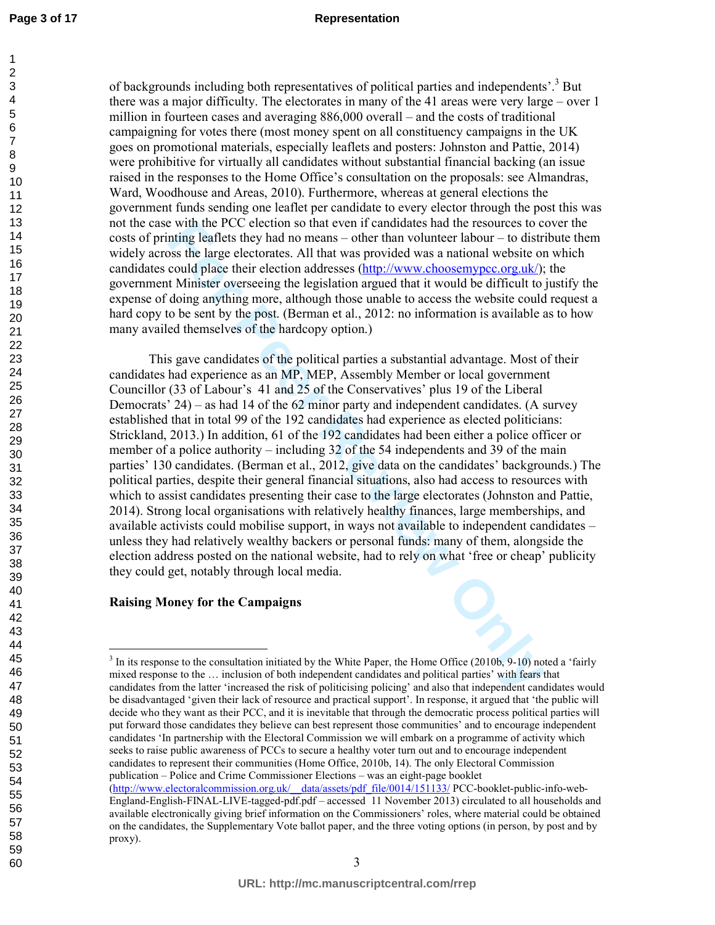of backgrounds including both representatives of political parties and independents<sup>3</sup>. But there was a major difficulty. The electorates in many of the 41 areas were very large – over 1 million in fourteen cases and averaging 886,000 overall – and the costs of traditional campaigning for votes there (most money spent on all constituency campaigns in the UK goes on promotional materials, especially leaflets and posters: Johnston and Pattie, 2014) were prohibitive for virtually all candidates without substantial financial backing (an issue raised in the responses to the Home Office's consultation on the proposals: see Almandras, Ward, Woodhouse and Areas, 2010). Furthermore, whereas at general elections the government funds sending one leaflet per candidate to every elector through the post this was not the case with the PCC election so that even if candidates had the resources to cover the costs of printing leaflets they had no means – other than volunteer labour – to distribute them widely across the large electorates. All that was provided was a national website on which candidates could place their election addresses  $\frac{(\text{http://www.choosemypec.org.uk/})}{(\text{http://www.choosemypec.org.uk/})}$ ; the government Minister overseeing the legislation argued that it would be difficult to justify the expense of doing anything more, although those unable to access the website could request a hard copy to be sent by the post. (Berman et al., 2012: no information is available as to how many availed themselves of the hardcopy option.)

This gave candidates of the political parties a substantial advantage. Most of their candidates had experience as an MP, MEP, Assembly Member or local government Councillor (33 of Labour's 41 and 25 of the Conservatives' plus 19 of the Liberal Democrats'  $24$ ) – as had 14 of the 62 minor party and independent candidates. (A survey established that in total 99 of the 192 candidates had experience as elected politicians: Strickland, 2013.) In addition, 61 of the 192 candidates had been either a police officer or member of a police authority – including 32 of the 54 independents and 39 of the main parties' 130 candidates. (Berman et al., 2012, give data on the candidates' backgrounds.) The political parties, despite their general financial situations, also had access to resources with which to assist candidates presenting their case to the large electorates (Johnston and Pattie, 2014). Strong local organisations with relatively healthy finances, large memberships, and available activists could mobilise support, in ways not available to independent candidates – unless they had relatively wealthy backers or personal funds: many of them, alongside the election address posted on the national website, had to rely on what 'free or cheap' publicity they could get, notably through local media.

## **Raising Money for the Campaigns**

 $prox(y)$ .

 $3$  In its response to the consultation initiated by the White Paper, the Home Office (2010b, 9-10) noted a 'fairly mixed response to the ... inclusion of both independent candidates and political parties' with fears that candidates from the latter 'increased the risk of politicising policing' and also that independent candidates would be disadvantaged 'given their lack of resource and practical support'. In response, it argued that 'the public will decide who they want as their PCC, and it is inevitable that through the democratic process political parties will put forward those candidates they believe can best represent those communities' and to encourage independent candidates 'In partnership with the Electoral Commission we will embark on a programme of activity which seeks to raise public awareness of PCCs to secure a healthy voter turn out and to encourage independent candidates to represent their communities (Home Office, 2010b, 14). The only Electoral Commission publication – Police and Crime Commissioner Elections – was an eight-page booklet (http://www.electoralcommission.org.uk/ data/assets/pdf file/0014/151133/ PCC-booklet-public-info-web-England-English-FINAL-LIVE-tagged-pdf.pdf – accessed 11 November 2013) circulated to all households and available electronically giving brief information on the Commissioners' roles, where material could be obtained on the candidates, the Supplementary Vote ballot paper, and the three voting options (in person, by post and by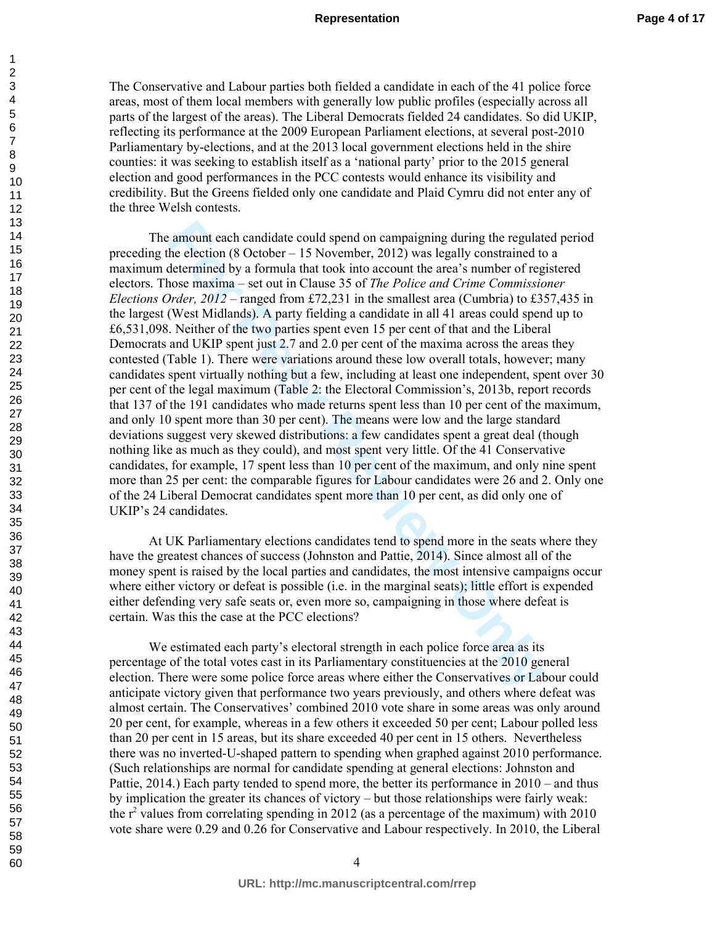The Conservative and Labour parties both fielded a candidate in each of the 41 police force areas, most of them local members with generally low public profiles (especially across all parts of the largest of the areas). The Liberal Democrats fielded 24 candidates. So did UKIP, reflecting its performance at the 2009 European Parliament elections, at several post-2010 Parliamentary by-elections, and at the 2013 local government elections held in the shire counties: it was seeking to establish itself as a 'national party' prior to the 2015 general election and good performances in the PCC contests would enhance its visibility and credibility. But the Greens fielded only one candidate and Plaid Cymru did not enter any of the three Welsh contests.

The amount each candidate could spend on campaigning during the regulated period preceding the election (8 October  $-15$  November, 2012) was legally constrained to a maximum determined by a formula that took into account the area's number of registered electors. Those maxima – set out in Clause 35 of The Police and Crime Commissioner *Elections Order, 2012* – ranged from £72,231 in the smallest area (Cumbria) to £357,435 in the largest (West Midlands). A party fielding a candidate in all 41 areas could spend up to  $\text{\pounds}6,531,098$ . Neither of the two parties spent even 15 per cent of that and the Liberal Democrats and UKIP spent just 2.7 and 2.0 per cent of the maxima across the areas they contested (Table 1). There were variations around these low overall totals, however; many candidates spent virtually nothing but a few, including at least one independent, spent over 30 per cent of the legal maximum (Table 2: the Electoral Commission's, 2013b, report records that 137 of the 191 candidates who made returns spent less than 10 per cent of the maximum, and only 10 spent more than 30 per cent). The means were low and the large standard deviations suggest very skewed distributions: a few candidates spent a great deal (though nothing like as much as they could), and most spent very little. Of the 41 Conservative candidates, for example, 17 spent less than 10 per cent of the maximum, and only nine spent more than 25 per cent: the comparable figures for Labour candidates were 26 and 2. Only one of the 24 Liberal Democrat candidates spent more than 10 per cent, as did only one of UKIP's 24 candidates.

At UK Parliamentary elections candidates tend to spend more in the seats where they have the greatest chances of success (Johnston and Pattie, 2014). Since almost all of the money spent is raised by the local parties and candidates, the most intensive campaigns occur where either victory or defeat is possible (i.e. in the marginal seats); little effort is expended either defending very safe seats or, even more so, campaigning in those where defeat is certain. Was this the case at the PCC elections?

We estimated each party's electoral strength in each police force area as its percentage of the total votes cast in its Parliamentary constituencies at the 2010 general election. There were some police force areas where either the Conservatives or Labour could anticipate victory given that performance two years previously, and others where defeat was almost certain. The Conservatives' combined 2010 vote share in some areas was only around 20 per cent, for example, whereas in a few others it exceeded 50 per cent; Labour polled less than 20 per cent in 15 areas, but its share exceeded 40 per cent in 15 others. Nevertheless there was no inverted-U-shaped pattern to spending when graphed against 2010 performance. (Such relationships are normal for candidate spending at general elections: Johnston and Pattie, 2014.) Each party tended to spend more, the better its performance in 2010 – and thus by implication the greater its chances of victory  $-$  but those relationships were fairly weak: the  $r^2$  values from correlating spending in 2012 (as a percentage of the maximum) with 2010 vote share were 0.29 and 0.26 for Conservative and Labour respectively. In 2010, the Liberal

 $\mathbf{1}$  $\overline{2}$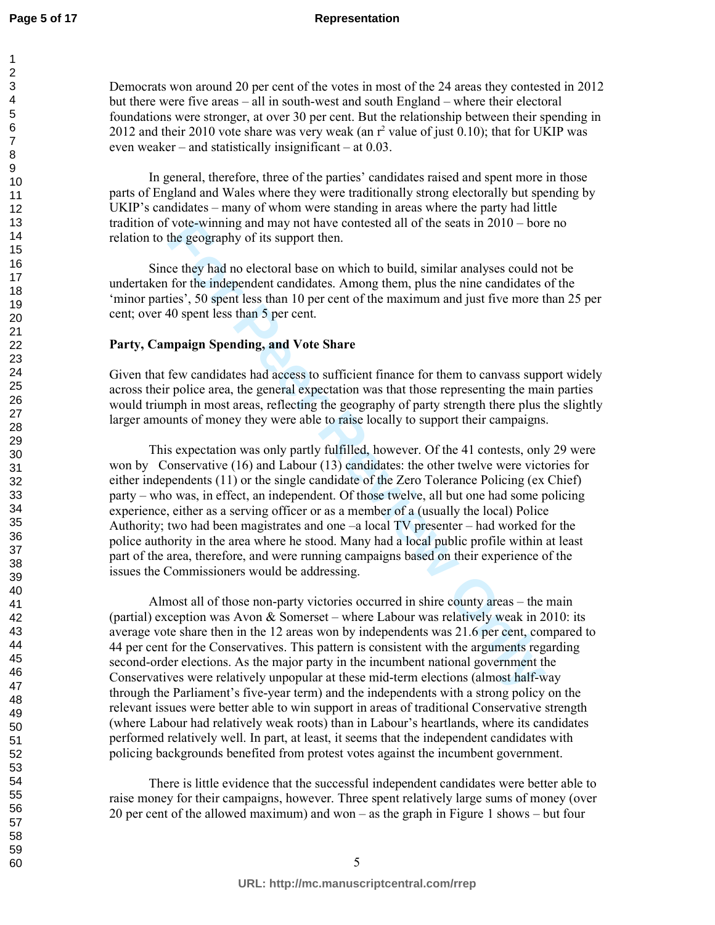Democrats won around 20 per cent of the votes in most of the 24 areas they contested in 2012 but there were five areas – all in south-west and south England – where their electoral foundations were stronger, at over 30 per cent. But the relationship between their spending in 2012 and their 2010 vote share was very weak (an  $r^2$  value of just 0.10); that for UKIP was even weaker – and statistically insignificant – at  $0.03$ .

In general, therefore, three of the parties' candidates raised and spent more in those parts of England and Wales where they were traditionally strong electorally but spending by UKIP's candidates – many of whom were standing in areas where the party had little tradition of vote-winning and may not have contested all of the seats in  $2010 -$  bore no relation to the geography of its support then.

Since they had no electoral base on which to build, similar analyses could not be undertaken for the independent candidates. Among them, plus the nine candidates of the 'minor parties', 50 spent less than 10 per cent of the maximum and just five more than 25 per cent; over 40 spent less than 5 per cent.

# Party, Campaign Spending, and Vote Share

Given that few candidates had access to sufficient finance for them to canvass support widely across their police area, the general expectation was that those representing the main parties would triumph in most areas, reflecting the geography of party strength there plus the slightly larger amounts of money they were able to raise locally to support their campaigns.

This expectation was only partly fulfilled, however. Of the 41 contests, only 29 were won by Conservative (16) and Labour (13) candidates: the other twelve were victories for either independents (11) or the single candidate of the Zero Tolerance Policing (ex Chief) party – who was, in effect, an independent. Of those twelve, all but one had some policing experience, either as a serving officer or as a member of a (usually the local) Police Authority; two had been magistrates and one –a local TV presenter – had worked for the police authority in the area where he stood. Many had a local public profile within at least part of the area, therefore, and were running campaigns based on their experience of the issues the Commissioners would be addressing.

Almost all of those non-party victories occurred in shire county areas – the main (partial) exception was Avon & Somerset – where Labour was relatively weak in 2010: its average vote share then in the 12 areas won by independents was 21.6 per cent, compared to 44 per cent for the Conservatives. This pattern is consistent with the arguments regarding second-order elections. As the major party in the incumbent national government the Conservatives were relatively unpopular at these mid-term elections (almost half-way through the Parliament's five-year term) and the independents with a strong policy on the relevant issues were better able to win support in areas of traditional Conservative strength (where Labour had relatively weak roots) than in Labour's heartlands, where its candidates performed relatively well. In part, at least, it seems that the independent candidates with policing backgrounds benefited from protest votes against the incumbent government.

There is little evidence that the successful independent candidates were better able to raise money for their campaigns, however. Three spent relatively large sums of money (over 20 per cent of the allowed maximum) and won – as the graph in Figure 1 shows – but four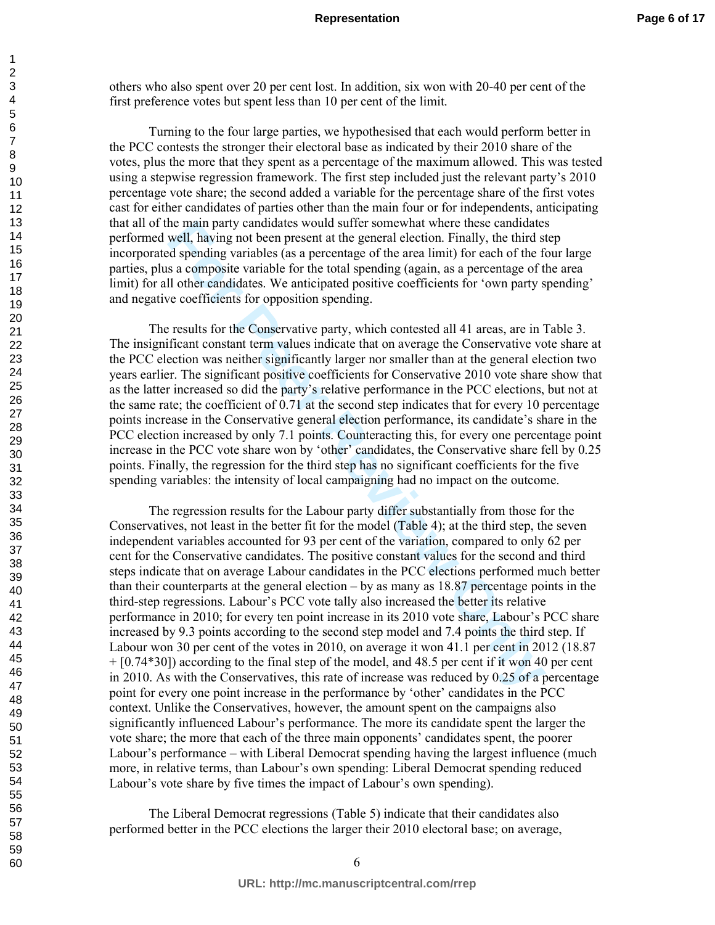others who also spent over 20 per cent lost. In addition, six won with 20-40 per cent of the first preference votes but spent less than 10 per cent of the limit.

Turning to the four large parties, we hypothesised that each would perform better in the PCC contests the stronger their electoral base as indicated by their 2010 share of the votes, plus the more that they spent as a percentage of the maximum allowed. This was tested using a stepwise regression framework. The first step included just the relevant party's 2010 percentage vote share; the second added a variable for the percentage share of the first votes cast for either candidates of parties other than the main four or for independents, anticipating that all of the main party candidates would suffer somewhat where these candidates performed well, having not been present at the general election. Finally, the third step incorporated spending variables (as a percentage of the area limit) for each of the four large parties, plus a composite variable for the total spending (again, as a percentage of the area limit) for all other candidates. We anticipated positive coefficients for 'own party spending' and negative coefficients for opposition spending.

The results for the Conservative party, which contested all 41 areas, are in Table 3. The insignificant constant term values indicate that on average the Conservative vote share at the PCC election was neither significantly larger nor smaller than at the general election two years earlier. The significant positive coefficients for Conservative 2010 vote share show that as the latter increased so did the party's relative performance in the PCC elections, but not at the same rate; the coefficient of 0.71 at the second step indicates that for every 10 percentage points increase in the Conservative general election performance, its candidate's share in the PCC election increased by only 7.1 points. Counteracting this, for every one percentage point increase in the PCC vote share won by 'other' candidates, the Conservative share fell by 0.25 points. Finally, the regression for the third step has no significant coefficients for the five spending variables: the intensity of local campaigning had no impact on the outcome.

The regression results for the Labour party differ substantially from those for the Conservatives, not least in the better fit for the model (Table 4); at the third step, the seven independent variables accounted for 93 per cent of the variation, compared to only 62 per cent for the Conservative candidates. The positive constant values for the second and third steps indicate that on average Labour candidates in the PCC elections performed much better than their counterparts at the general election  $-$  by as many as 18.87 percentage points in the third-step regressions. Labour's PCC vote tally also increased the better its relative performance in 2010; for every ten point increase in its 2010 vote share, Labour's PCC share increased by 9.3 points according to the second step model and 7.4 points the third step. If Labour won 30 per cent of the votes in 2010, on average it won 41.1 per cent in 2012 (18.87)  $+$  [0.74\*30]) according to the final step of the model, and 48.5 per cent if it won 40 per cent in 2010. As with the Conservatives, this rate of increase was reduced by 0.25 of a percentage point for every one point increase in the performance by 'other' candidates in the PCC context. Unlike the Conservatives, however, the amount spent on the campaigns also significantly influenced Labour's performance. The more its candidate spent the larger the vote share; the more that each of the three main opponents' candidates spent, the poorer Labour's performance – with Liberal Democrat spending having the largest influence (much more, in relative terms, than Labour's own spending: Liberal Democrat spending reduced Labour's vote share by five times the impact of Labour's own spending).

The Liberal Democrat regressions (Table 5) indicate that their candidates also performed better in the PCC elections the larger their 2010 electoral base; on average,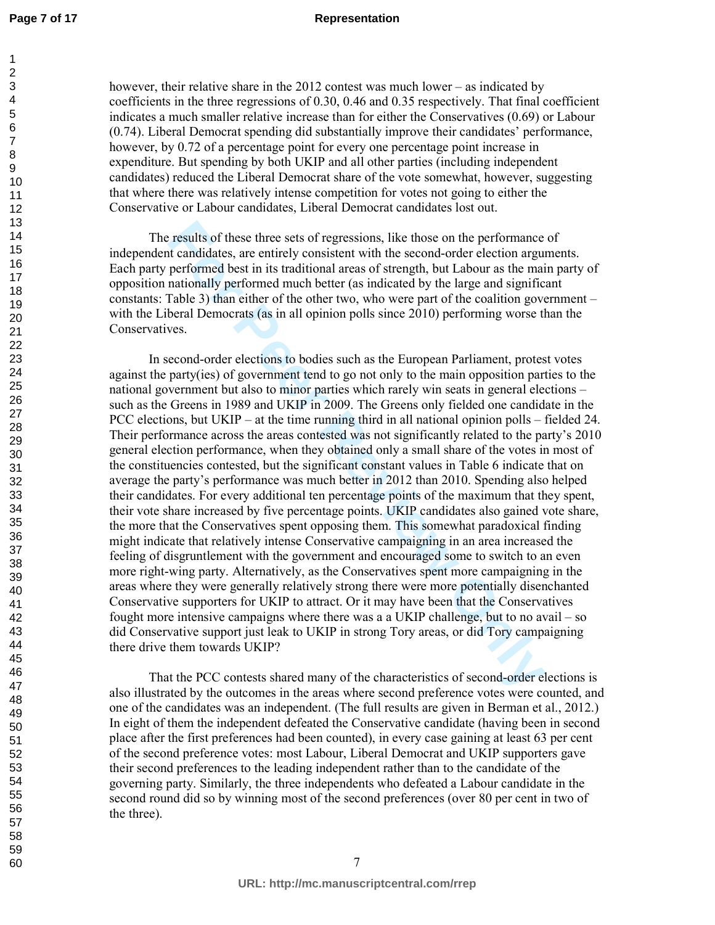$\mathbf{1}$  $\overline{2}$ 3

4

5

## Representation

however, their relative share in the  $2012$  contest was much lower – as indicated by coefficients in the three regressions of 0.30, 0.46 and 0.35 respectively. That final coefficient indicates a much smaller relative increase than for either the Conservatives (0.69) or Labour (0.74). Liberal Democrat spending did substantially improve their candidates' performance, however, by 0.72 of a percentage point for every one percentage point increase in expenditure. But spending by both UKIP and all other parties (including independent candidates) reduced the Liberal Democrat share of the vote somewhat, however, suggesting that where there was relatively intense competition for votes not going to either the Conservative or Labour candidates, Liberal Democrat candidates lost out.

The results of these three sets of regressions, like those on the performance of independent candidates, are entirely consistent with the second-order election arguments. Each party performed best in its traditional areas of strength, but Labour as the main party of opposition nationally performed much better (as indicated by the large and significant constants: Table 3) than either of the other two, who were part of the coalition government – with the Liberal Democrats (as in all opinion polls since 2010) performing worse than the Conservatives.

In second-order elections to bodies such as the European Parliament, protest votes against the party(ies) of government tend to go not only to the main opposition parties to the national government but also to minor parties which rarely win seats in general elections – such as the Greens in 1989 and UKIP in 2009. The Greens only fielded one candidate in the PCC elections, but  $UKIP - at$  the time running third in all national opinion polls – fielded 24. Their performance across the areas contested was not significantly related to the party's 2010 general election performance, when they obtained only a small share of the votes in most of the constituencies contested, but the significant constant values in Table 6 indicate that on average the party's performance was much better in 2012 than 2010. Spending also helped their candidates. For every additional ten percentage points of the maximum that they spent, their vote share increased by five percentage points. UKIP candidates also gained vote share, the more that the Conservatives spent opposing them. This somewhat paradoxical finding might indicate that relatively intense Conservative campaigning in an area increased the feeling of disgruntlement with the government and encouraged some to switch to an even more right-wing party. Alternatively, as the Conservatives spent more campaigning in the areas where they were generally relatively strong there were more potentially disenchanted Conservative supporters for UKIP to attract. Or it may have been that the Conservatives fought more intensive campaigns where there was a a UKIP challenge, but to no avail – so did Conservative support just leak to UKIP in strong Tory areas, or did Tory campaigning there drive them towards UKIP?

That the PCC contests shared many of the characteristics of second-order elections is also illustrated by the outcomes in the areas where second preference votes were counted, and one of the candidates was an independent. (The full results are given in Berman et al., 2012.) In eight of them the independent defeated the Conservative candidate (having been in second place after the first preferences had been counted), in every case gaining at least 63 per cent of the second preference votes: most Labour, Liberal Democrat and UKIP supporters gave their second preferences to the leading independent rather than to the candidate of the governing party. Similarly, the three independents who defeated a Labour candidate in the second round did so by winning most of the second preferences (over 80 per cent in two of the three).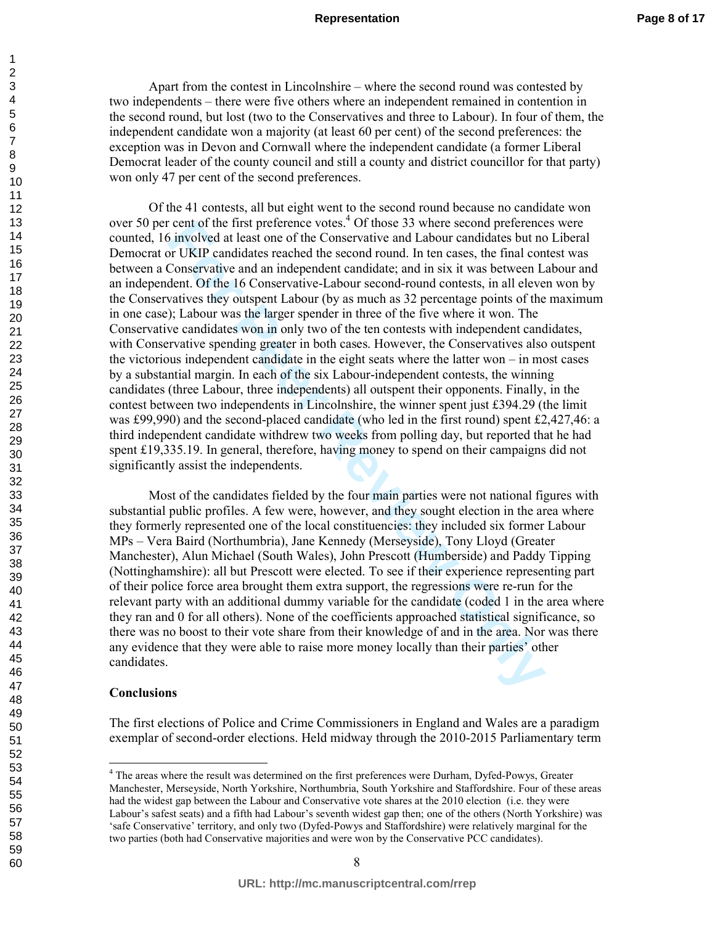Apart from the contest in Lincolnshire – where the second round was contested by two independents – there were five others where an independent remained in contention in the second round, but lost (two to the Conservatives and three to Labour). In four of them, the independent candidate won a majority (at least 60 per cent) of the second preferences: the exception was in Devon and Cornwall where the independent candidate (a former Liberal Democrat leader of the county council and still a county and district councillor for that party) won only 47 per cent of the second preferences.

Of the 41 contests, all but eight went to the second round because no candidate won over 50 per cent of the first preference votes.<sup>4</sup> Of those 33 where second preferences were counted, 16 involved at least one of the Conservative and Labour candidates but no Liberal Democrat or UKIP candidates reached the second round. In ten cases, the final contest was between a Conservative and an independent candidate; and in six it was between Labour and an independent. Of the 16 Conservative-Labour second-round contests, in all eleven won by the Conservatives they outspent Labour (by as much as 32 percentage points of the maximum in one case); Labour was the larger spender in three of the five where it won. The Conservative candidates won in only two of the ten contests with independent candidates. with Conservative spending greater in both cases. However, the Conservatives also outspent the victorious independent candidate in the eight seats where the latter won – in most cases by a substantial margin. In each of the six Labour-independent contests, the winning candidates (three Labour, three independents) all outspent their opponents. Finally, in the contest between two independents in Lincolnshire, the winner spent just £394.29 (the limit was £99,990) and the second-placed candidate (who led in the first round) spent £2,427,46: a third independent candidate withdrew two weeks from polling day, but reported that he had spent £19,335.19. In general, therefore, having money to spend on their campaigns did not significantly assist the independents.

Most of the candidates fielded by the four main parties were not national figures with substantial public profiles. A few were, however, and they sought election in the area where they formerly represented one of the local constituencies: they included six former Labour MPs – Vera Baird (Northumbria), Jane Kennedy (Merseyside), Tony Lloyd (Greater Manchester), Alun Michael (South Wales), John Prescott (Humberside) and Paddy Tipping (Nottinghamshire): all but Prescott were elected. To see if their experience representing part of their police force area brought them extra support, the regressions were re-run for the relevant party with an additional dummy variable for the candidate (coded 1 in the area where they ran and 0 for all others). None of the coefficients approached statistical significance, so there was no boost to their vote share from their knowledge of and in the area. Nor was there any evidence that they were able to raise more money locally than their parties' other candidates.

## **Conclusions**

The first elections of Police and Crime Commissioners in England and Wales are a paradigm exemplar of second-order elections. Held midway through the 2010-2015 Parliamentary term

59

<sup>&</sup>lt;sup>4</sup> The areas where the result was determined on the first preferences were Durham, Dyfed-Powys, Greater Manchester, Merseyside, North Yorkshire, Northumbria, South Yorkshire and Staffordshire. Four of these areas had the widest gap between the Labour and Conservative vote shares at the 2010 election (i.e. they were Labour's safest seats) and a fifth had Labour's seventh widest gap then; one of the others (North Yorkshire) was 'safe Conservative' territory, and only two (Dyfed-Powys and Staffordshire) were relatively marginal for the two parties (both had Conservative majorities and were won by the Conservative PCC candidates).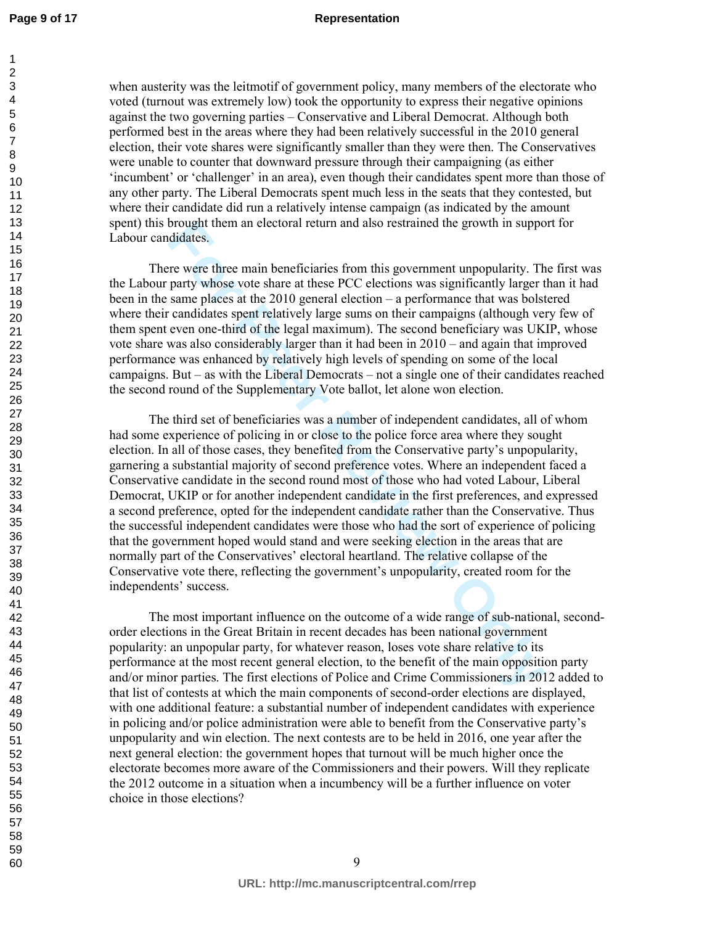$\mathbf{1}$ 

#### Representation

when austerity was the leitmotif of government policy, many members of the electorate who voted (turnout was extremely low) took the opportunity to express their negative opinions against the two governing parties – Conservative and Liberal Democrat. Although both performed best in the areas where they had been relatively successful in the 2010 general election, their vote shares were significantly smaller than they were then. The Conservatives were unable to counter that downward pressure through their campaigning (as either 'incumbent' or 'challenger' in an area), even though their candidates spent more than those of any other party. The Liberal Democrats spent much less in the seats that they contested, but where their candidate did run a relatively intense campaign (as indicated by the amount spent) this brought them an electoral return and also restrained the growth in support for Labour candidates.

There were three main beneficiaries from this government unpopularity. The first was the Labour party whose vote share at these PCC elections was significantly larger than it had been in the same places at the 2010 general election  $-a$  performance that was bolstered where their candidates spent relatively large sums on their campaigns (although very few of them spent even one-third of the legal maximum). The second beneficiary was UKIP, whose vote share was also considerably larger than it had been in  $2010 -$  and again that improved performance was enhanced by relatively high levels of spending on some of the local campaigns. But  $-$  as with the Liberal Democrats  $-$  not a single one of their candidates reached the second round of the Supplementary Vote ballot, let alone won election.

The third set of beneficiaries was a number of independent candidates, all of whom had some experience of policing in or close to the police force area where they sought election. In all of those cases, they benefited from the Conservative party's unpopularity, garnering a substantial majority of second preference votes. Where an independent faced a Conservative candidate in the second round most of those who had voted Labour, Liberal Democrat, UKIP or for another independent candidate in the first preferences, and expressed a second preference, opted for the independent candidate rather than the Conservative. Thus the successful independent candidates were those who had the sort of experience of policing that the government hoped would stand and were seeking election in the areas that are normally part of the Conservatives' electoral heartland. The relative collapse of the Conservative vote there, reflecting the government's unpopularity, created room for the independents' success.

The most important influence on the outcome of a wide range of sub-national, secondorder elections in the Great Britain in recent decades has been national government popularity: an unpopular party, for whatever reason, loses vote share relative to its performance at the most recent general election, to the benefit of the main opposition party and/or minor parties. The first elections of Police and Crime Commissioners in 2012 added to that list of contests at which the main components of second-order elections are displayed, with one additional feature: a substantial number of independent candidates with experience in policing and/or police administration were able to benefit from the Conservative party's unpopularity and win election. The next contests are to be held in 2016, one year after the next general election: the government hopes that turnout will be much higher once the electorate becomes more aware of the Commissioners and their powers. Will they replicate the 2012 outcome in a situation when a incumbency will be a further influence on voter choice in those elections?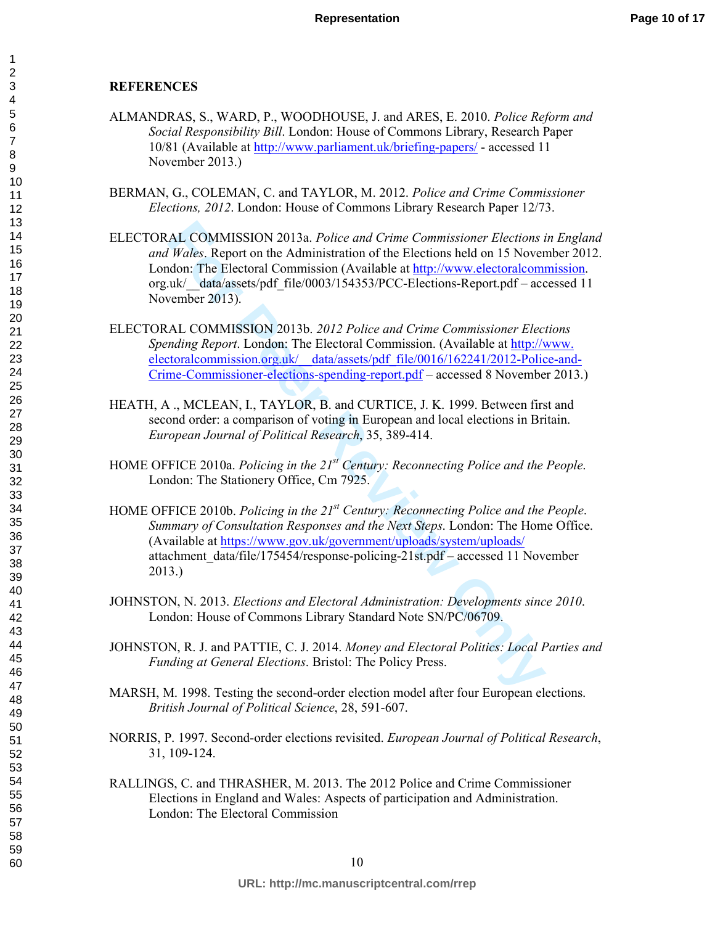# **REFERENCES**

- ALMANDRAS, S., WARD, P., WOODHOUSE, J. and ARES, E. 2010. Police Reform and Social Responsibility Bill. London: House of Commons Library, Research Paper 10/81 (Available at http://www.parliament.uk/briefing-papers/ - accessed 11 November 2013.)
- BERMAN, G., COLEMAN, C. and TAYLOR, M. 2012. Police and Crime Commissioner *Elections, 2012.* London: House of Commons Library Research Paper 12/73.
- ELECTORAL COMMISSION 2013a. Police and Crime Commissioner Elections in England and Wales. Report on the Administration of the Elections held on 15 November 2012. London: The Electoral Commission (Available at http://www.electoralcommission. org.uk/ data/assets/pdf file/0003/154353/PCC-Elections-Report.pdf – accessed 11 November 2013).
- ELECTORAL COMMISSION 2013b. 2012 Police and Crime Commissioner Elections Spending Report. London: The Electoral Commission. (Available at http://www. electoralcommission.org.uk/ data/assets/pdf file/0016/162241/2012-Police-and-Crime-Commissioner-elections-spending-report.pdf – accessed 8 November 2013.)
- HEATH, A., MCLEAN, I., TAYLOR, B. and CURTICE, J. K. 1999. Between first and second order: a comparison of voting in European and local elections in Britain. European Journal of Political Research, 35, 389-414.
- HOME OFFICE 2010a. Policing in the  $21^{st}$  Century: Reconnecting Police and the People. London: The Stationery Office, Cm 7925.
- HOME OFFICE 2010b. Policing in the  $21<sup>st</sup>$  Century: Reconnecting Police and the People. Summary of Consultation Responses and the Next Steps. London: The Home Office. (Available at https://www.gov.uk/government/uploads/system/uploads/ attachment data/file/175454/response-policing-21st.pdf – accessed 11 November  $2013.)$
- JOHNSTON, N. 2013. Elections and Electoral Administration: Developments since 2010. London: House of Commons Library Standard Note SN/PC/06709.
- JOHNSTON, R. J. and PATTIE, C. J. 2014. Money and Electoral Politics: Local Parties and *Funding at General Elections. Bristol: The Policy Press.*
- MARSH, M. 1998. Testing the second-order election model after four European elections. British Journal of Political Science, 28, 591-607.
- NORRIS, P. 1997. Second-order elections revisited. European Journal of Political Research, 31, 109-124.
- RALLINGS, C. and THRASHER, M. 2013. The 2012 Police and Crime Commissioner Elections in England and Wales: Aspects of participation and Administration. London: The Electoral Commission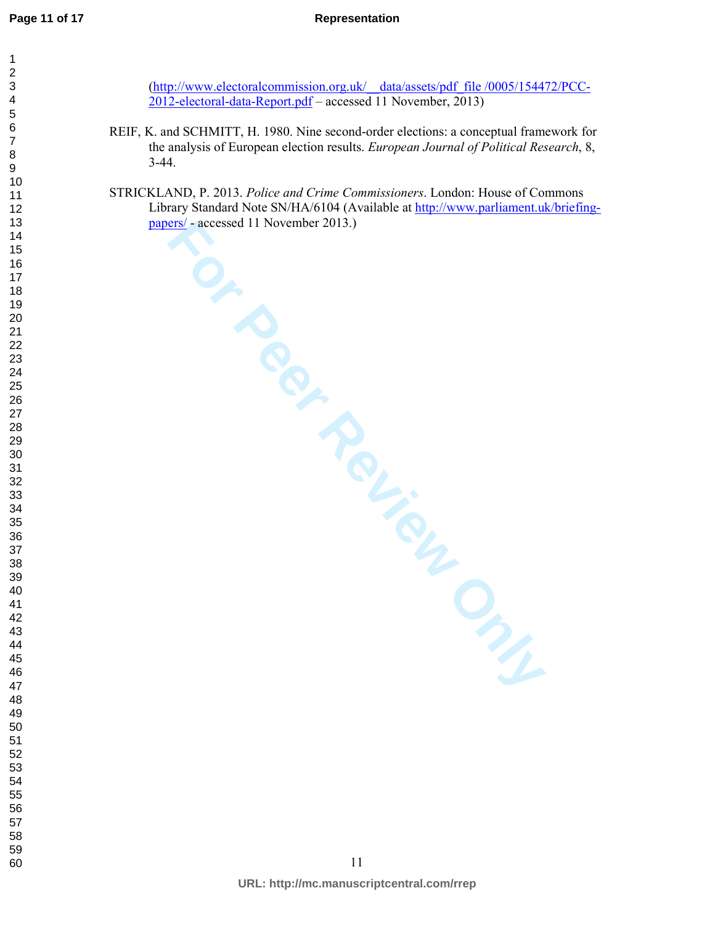| <b>IVENI ESCHILGUOTI</b>                                                                                                                                                                                    |
|-------------------------------------------------------------------------------------------------------------------------------------------------------------------------------------------------------------|
| (http://www.electoralcommission.org.uk/ data/assets/pdf file /0005/154472/PCC-<br>2012-electoral-data-Report.pdf - accessed 11 November, 2013)                                                              |
| REIF, K. and SCHMITT, H. 1980. Nine second-order elections: a conceptual framework for<br>the analysis of European election results. European Journal of Political Research, 8,<br>$3-44.$                  |
| STRICKLAND, P. 2013. Police and Crime Commissioners. London: House of Commons<br>Library Standard Note SN/HA/6104 (Available at http://www.parliament.uk/briefing-<br>papers/ - accessed 11 November 2013.) |
|                                                                                                                                                                                                             |
|                                                                                                                                                                                                             |
|                                                                                                                                                                                                             |
| Roy.                                                                                                                                                                                                        |
| $\boldsymbol{\mathcal{P}}$                                                                                                                                                                                  |
| $O_{\gamma_{L}}$                                                                                                                                                                                            |
|                                                                                                                                                                                                             |
|                                                                                                                                                                                                             |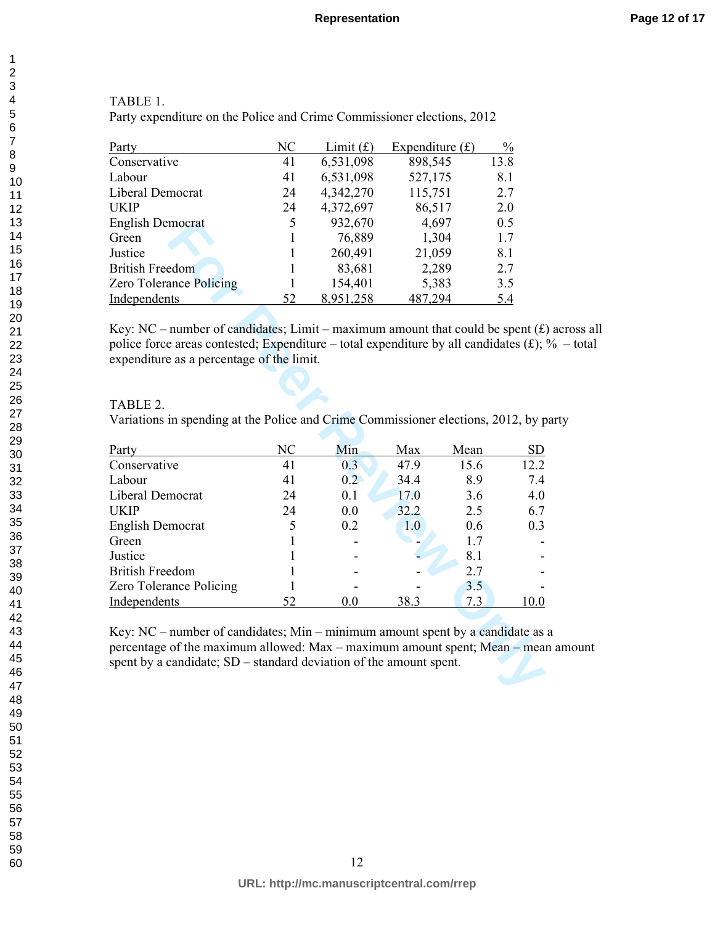| Party                          | NC | Limit $(f)$ | Expenditure $(f)$ | $\frac{0}{0}$ |
|--------------------------------|----|-------------|-------------------|---------------|
| Conservative                   | 41 | 6,531,098   | 898,545           | 13.8          |
| Labour                         | 41 | 6,531,098   | 527,175           | 8.1           |
| Liberal Democrat               | 24 | 4,342,270   | 115,751           | 2.7           |
| <b>UKIP</b>                    | 24 | 4,372,697   | 86,517            | 2.0           |
| <b>English Democrat</b>        | 5  | 932,670     | 4,697             | 0.5           |
| Green                          |    | 76,889      | 1,304             | 1.7           |
| Justice                        |    | 260,491     | 21,059            | 8.1           |
| <b>British Freedom</b>         |    | 83,681      | 2,289             | 2.7           |
| <b>Zero Tolerance Policing</b> |    | 154,401     | 5,383             | 3.5           |
| Independents                   | 52 | 8,951,258   | 487,294           | 5.4           |

Party expenditure on the Police and Crime Commissioner elections, 2012

Key: NC – number of candidates; Limit – maximum amount that could be spent  $(f)$  across all police force areas contested; Expenditure – total expenditure by all candidates  $(f)$ ; % – total expenditure as a percentage of the limit.

# TABLE 2.

Variations in spending at the Police and Crime Commissioner elections, 2012, by party

| Party                          | NC | Min | Max  | Mean | SD   |
|--------------------------------|----|-----|------|------|------|
| Conservative                   | 41 | 0.3 | 47.9 | 15.6 | 12.2 |
| Labour                         | 41 | 0.2 | 34.4 | 8.9  | 7.4  |
| Liberal Democrat               | 24 | 0.1 | 17.0 | 3.6  | 4.0  |
| <b>UKIP</b>                    | 24 | 0.0 | 32.2 | 2.5  | 6.7  |
| English Democrat               |    | 0.2 | 1.0  | 0.6  | 0.3  |
| Green                          |    |     |      | 1.7  |      |
| Justice                        |    |     |      | 8.1  |      |
| <b>British Freedom</b>         |    |     |      | 2.7  |      |
| <b>Zero Tolerance Policing</b> |    |     |      | 3.5  |      |
| Independents                   | 52 | 0.0 | 38.3 | 7.3  |      |

Key:  $NC$  – number of candidates; Min – minimum amount spent by a candidate as a percentage of the maximum allowed: Max - maximum amount spent; Mean - mean amount spent by a candidate; SD – standard deviation of the amount spent.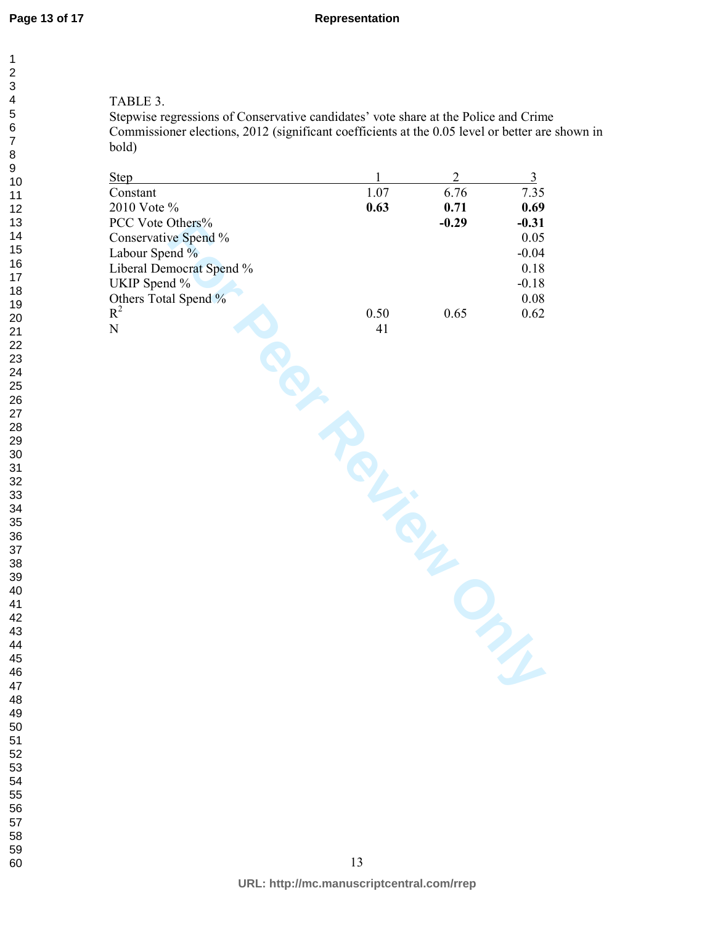60

# TABLE 3.

Stepwise regressions of Conservative candidates' vote share at the Police and Crime Commissioner elections, 2012 (significant coefficients at the 0.05 level or better are shown in bold)

| <b>Step</b>              |          | $\overline{2}$ | $\overline{3}$    |
|--------------------------|----------|----------------|-------------------|
| Constant                 | 1.07     | 6.76           | $\overline{7.35}$ |
| 2010 Vote %              | 0.63     | 0.71           | 0.69              |
| PCC Vote Others%         |          | $-0.29$        | $-0.31$           |
| Conservative Spend %     |          |                | $0.05\,$          |
| Labour Spend %           |          |                | $-0.04$           |
| Liberal Democrat Spend % |          |                | $0.18\,$          |
| UKIP Spend %             |          |                | $-0.18$           |
| Others Total Spend %     |          |                | $0.08\,$          |
| $\mathbb{R}^2$           | $0.50\,$ | $0.65\,$       | 0.62              |
| ${\bf N}$                | 41       |                |                   |
|                          |          |                |                   |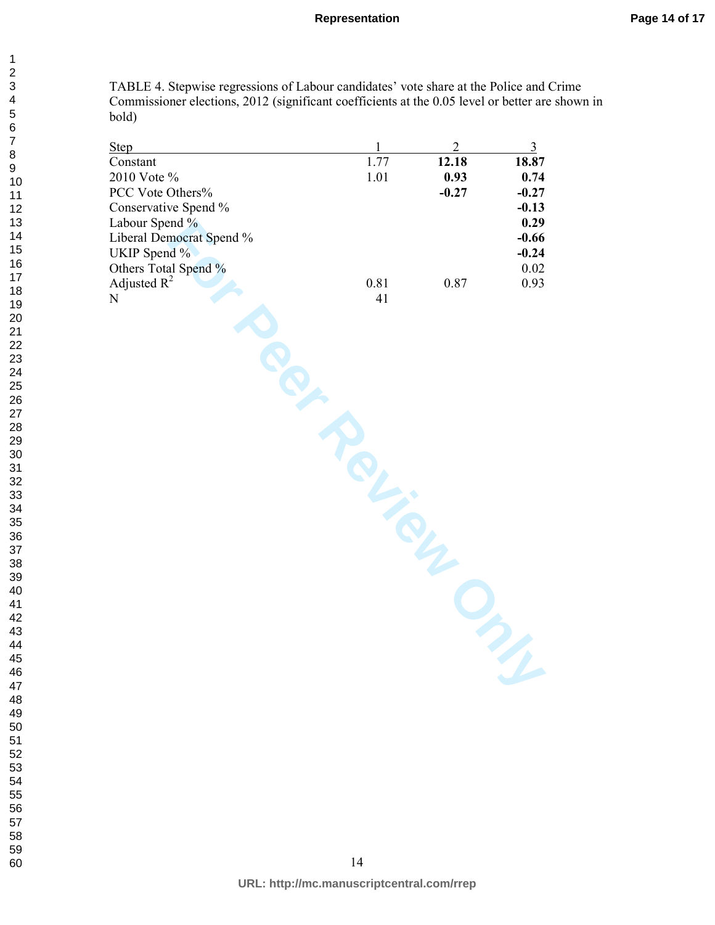TABLE 4. Stepwise regressions of Labour candidates' vote share at the Police and Crime Commissioner elections, 2012 (significant coefficients at the 0.05 level or better are shown in  $bold$ )

| <b>Step</b>                            |          | $\overline{2}$ | $\mathfrak{Z}$ |
|----------------------------------------|----------|----------------|----------------|
| Constant                               | 1.77     | 12.18          | 18.87          |
| 2010 Vote %                            | $1.01\,$ | 0.93           | 0.74           |
| PCC Vote Others%                       |          | $-0.27$        | $-0.27$        |
| Conservative Spend %                   |          |                | $-0.13$        |
| Labour Spend %                         |          |                | 0.29           |
| Liberal Democrat Spend %               |          |                | $-0.66$        |
| UKIP Spend %                           |          |                | $-0.24$        |
|                                        |          |                | $0.02\,$       |
| Others Total Spend %<br>Adjusted $R^2$ | 0.81     | $0.87\,$       | 0.93           |
| $\overline{N}$                         | 41       |                |                |
|                                        |          |                |                |
|                                        |          |                |                |
|                                        |          |                |                |
|                                        |          |                |                |
|                                        |          |                |                |
|                                        |          |                |                |
|                                        |          |                |                |
|                                        |          |                |                |
|                                        |          |                |                |
|                                        |          |                |                |
|                                        |          |                |                |
|                                        |          |                |                |
|                                        |          |                |                |
|                                        |          |                |                |
|                                        |          |                |                |
|                                        |          |                |                |
|                                        |          |                |                |
|                                        |          |                |                |
|                                        |          |                |                |
|                                        |          |                |                |
|                                        |          |                |                |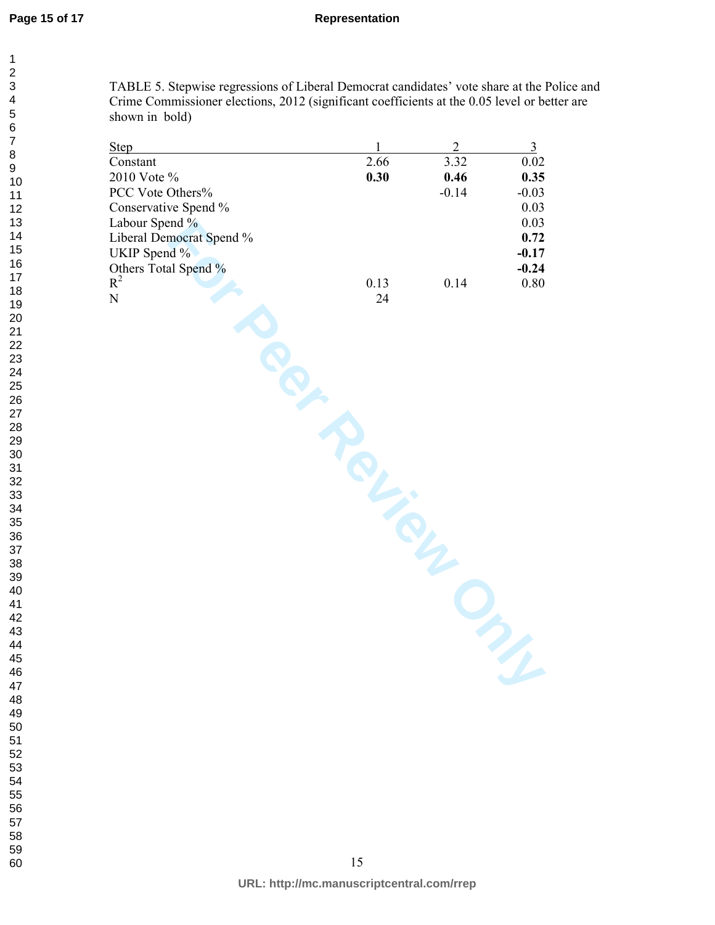TABLE 5. Stepwise regressions of Liberal Democrat candidates' vote share at the Police and Crime Commissioner elections, 2012 (significant coefficients at the 0.05 level or better are shown in bold)

| <b>Step</b>              | 1    | $\overline{2}$ | $\overline{3}$ |
|--------------------------|------|----------------|----------------|
| Constant                 | 2.66 | 3.32           | $0.02\,$       |
| 2010 Vote %              | 0.30 | 0.46           | 0.35           |
| PCC Vote Others%         |      | $-0.14$        | $-0.03$        |
| Conservative Spend %     |      |                | 0.03           |
| Labour Spend %           |      |                | 0.03           |
| Liberal Democrat Spend % |      |                | 0.72           |
| UKIP Spend %             |      |                | $-0.17$        |
| Others Total Spend %     |      |                | $-0.24$        |
| $\mathbb{R}^2$           | 0.13 | $0.14\,$       | $0.80\,$       |
| ${\bf N}$                | 24   |                |                |
|                          |      |                |                |
|                          |      |                |                |
|                          |      |                |                |
|                          |      |                |                |
|                          |      |                |                |
|                          |      |                |                |
|                          |      |                |                |
|                          |      |                |                |
|                          |      |                |                |
|                          |      |                |                |
|                          |      |                |                |
|                          |      |                |                |
|                          |      |                |                |
|                          |      |                |                |
|                          |      |                |                |
|                          |      |                |                |
|                          |      |                |                |
|                          |      |                |                |
|                          |      |                |                |
|                          |      |                |                |
|                          |      |                |                |
|                          |      |                |                |
|                          |      |                |                |
|                          |      |                |                |
|                          |      |                |                |
|                          |      |                |                |

15 **URL: http://mc.manuscriptcentral.com/rrep**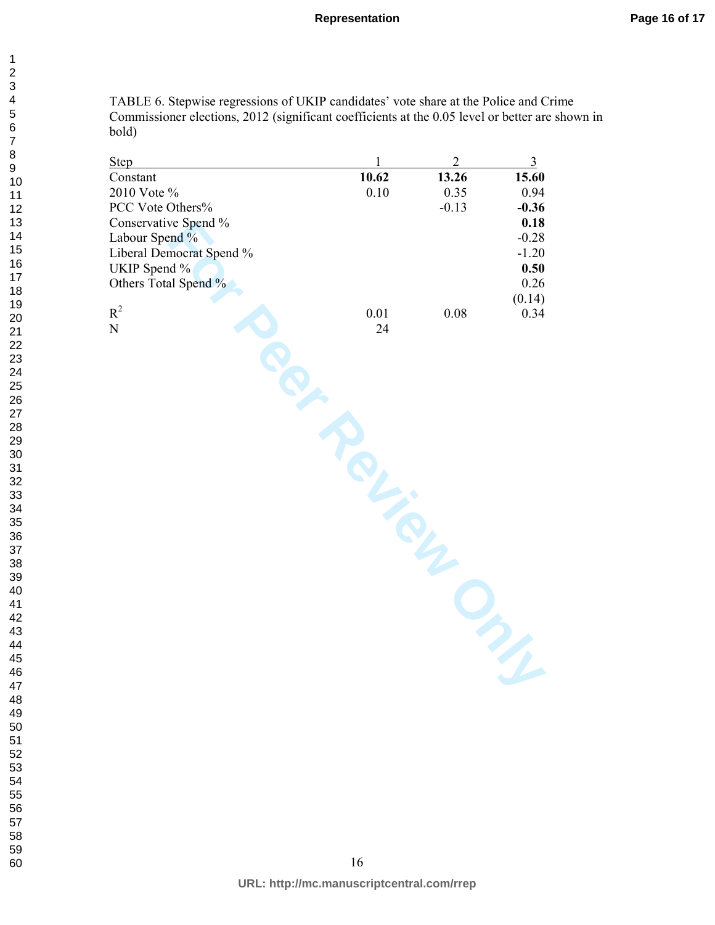| 41      |
|---------|
|         |
| 42      |
| 43      |
| 44      |
|         |
| 45      |
| 46      |
| 47      |
|         |
| 48      |
| 49      |
| 50      |
|         |
| 51      |
| 5       |
| 53<br>3 |
|         |
| 54      |
| 55      |
| 56      |
|         |
| 57      |
| 58      |
| 59      |
|         |
| 60      |

1

TABLE 6. Stepwise regressions of UKIP candidates' vote share at the Police and Crime Commissioner elections, 2012 (significant coefficients at the 0.05 level or better are shown in bold)

| <b>Step</b>              |          | $\overline{2}$ | $\overline{3}$ |
|--------------------------|----------|----------------|----------------|
| Constant                 | 10.62    | 13.26          | 15.60          |
| 2010 Vote %              | 0.10     | 0.35           | 0.94           |
| PCC Vote Others%         |          | $-0.13$        | $-0.36$        |
| Conservative Spend %     |          |                | 0.18           |
| Labour Spend %           |          |                | $-0.28$        |
| Liberal Democrat Spend % |          |                | $-1.20$        |
| UKIP Spend %             |          |                | $0.50\,$       |
| Others Total Spend %     |          |                | $0.26\,$       |
|                          |          |                | (0.14)         |
| $\mbox{R}^2$             | $0.01\,$ | $0.08\,$       | 0.34           |
| $\mathbf N$              | 24       |                |                |
|                          |          |                |                |